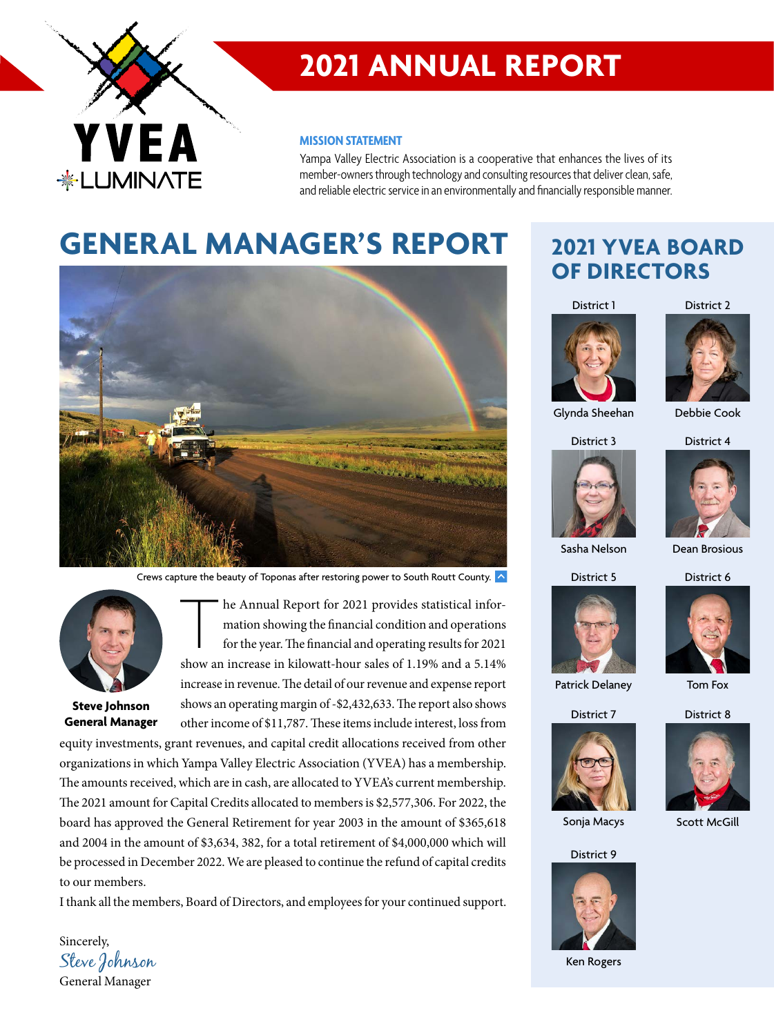

# **2021 ANNUAL REPORT**

#### **MISSION STATEMENT**

Yampa Valley Electric Association is a cooperative that enhances the lives of its member-owners through technology and consulting resources that deliver clean, safe, and reliable electric service in an environmentally and financially responsible manner.

# **GENERAL MANAGER'S REPORT**



Crews capture the beauty of Toponas after restoring power to South Routt County.  $\left| \left\langle \cdot \right| \right|$ 



**Steve Johnson General Manager**

Sincerely,

The Annual Report for 2021 provides statistical information showing the financial condition and operations for the year. The financial and operating results for 2021 show an increase in kilowatt-hour sales of 1.19% and a 5 mation showing the financial condition and operations for the year. The financial and operating results for 2021 increase in revenue. The detail of our revenue and expense report shows an operating margin of -\$2,432,633. The report also shows other income of \$11,787. These items include interest, loss from

equity investments, grant revenues, and capital credit allocations received from other organizations in which Yampa Valley Electric Association (YVEA) has a membership. The amounts received, which are in cash, are allocated to YVEA's current membership. The 2021 amount for Capital Credits allocated to members is \$2,577,306. For 2022, the board has approved the General Retirement for year 2003 in the amount of \$365,618 and 2004 in the amount of \$3,634, 382, for a total retirement of \$4,000,000 which will be processed in December 2022. We are pleased to continue the refund of capital credits to our members.

I thank all the members, Board of Directors, and employees for your continued support.

## **2021 YVEA BOARD OF DIRECTORS**

District 1

District 2





District 3 Glynda Sheehan

District 4





Sasha Nelson

District 6







Patrick Delaney

District 8 Tom Fox







Ken Rogers





District 5

Dean Brosious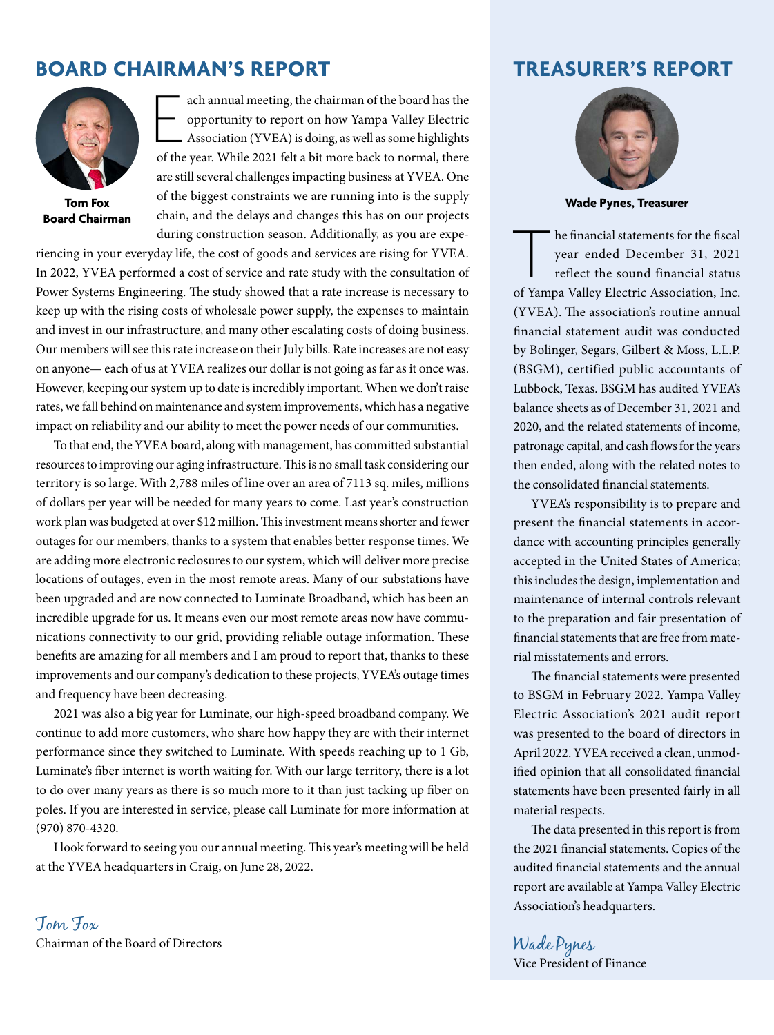### **BOARD CHAIRMAN'S REPORT TREASURER'S REPORT**



**Tom Fox Board Chairman**

ach annual meeting, the chairman of the board has the opportunity to report on how Yampa Valley Electric Association (YVEA) is doing, as well as some highlights of the year. While 2021 felt a bit more back to normal, there ach annual meeting, the chairman of the board has the opportunity to report on how Yampa Valley Electric Association (YVEA) is doing, as well as some highlights are still several challenges impacting business at YVEA. One of the biggest constraints we are running into is the supply chain, and the delays and changes this has on our projects during construction season. Additionally, as you are expe-

riencing in your everyday life, the cost of goods and services are rising for YVEA. In 2022, YVEA performed a cost of service and rate study with the consultation of Power Systems Engineering. The study showed that a rate increase is necessary to keep up with the rising costs of wholesale power supply, the expenses to maintain and invest in our infrastructure, and many other escalating costs of doing business. Our members will see this rate increase on their July bills. Rate increases are not easy on anyone— each of us at YVEA realizes our dollar is not going as far as it once was. However, keeping our system up to date is incredibly important. When we don't raise rates, we fall behind on maintenance and system improvements, which has a negative impact on reliability and our ability to meet the power needs of our communities.

To that end, the YVEA board, along with management, has committed substantial resources to improving our aging infrastructure. This is no small task considering our territory is so large. With 2,788 miles of line over an area of 7113 sq. miles, millions of dollars per year will be needed for many years to come. Last year's construction work plan was budgeted at over \$12 million. This investment means shorter and fewer outages for our members, thanks to a system that enables better response times. We are adding more electronic reclosures to our system, which will deliver more precise locations of outages, even in the most remote areas. Many of our substations have been upgraded and are now connected to Luminate Broadband, which has been an incredible upgrade for us. It means even our most remote areas now have communications connectivity to our grid, providing reliable outage information. These benefits are amazing for all members and I am proud to report that, thanks to these improvements and our company's dedication to these projects, YVEA's outage times and frequency have been decreasing.

2021 was also a big year for Luminate, our high-speed broadband company. We continue to add more customers, who share how happy they are with their internet performance since they switched to Luminate. With speeds reaching up to 1 Gb, Luminate's fiber internet is worth waiting for. With our large territory, there is a lot to do over many years as there is so much more to it than just tacking up fiber on poles. If you are interested in service, please call Luminate for more information at (970) 870-4320.

I look forward to seeing you our annual meeting. This year's meeting will be held at the YVEA headquarters in Craig, on June 28, 2022.

Tom Fox Chairman of the Board of Directors



**Wade Pynes, Treasurer**

The financial statements for the fiscal<br>
year ended December 31, 2021<br>
reflect the sound financial status<br>
of Yampa Valley Electric Association, Inc. year ended December 31, 2021 reflect the sound financial status (YVEA). The association's routine annual nancial statement audit was conducted by Bolinger, Segars, Gilbert & Moss, L.L.P. (BSGM), certified public accountants of Lubbock, Texas. BSGM has audited YVEA's balance sheets as of December 31, 2021 and 2020, and the related statements of income, patronage capital, and cash flows for the years then ended, along with the related notes to the consolidated financial statements.

YVEA's responsibility is to prepare and present the financial statements in accordance with accounting principles generally accepted in the United States of America; this includes the design, implementation and maintenance of internal controls relevant to the preparation and fair presentation of nancial statements that are free from material misstatements and errors.

The financial statements were presented to BSGM in February 2022. Yampa Valley Electric Association's 2021 audit report was presented to the board of directors in April 2022. YVEA received a clean, unmodified opinion that all consolidated financial statements have been presented fairly in all material respects.

The data presented in this report is from the 2021 financial statements. Copies of the audited financial statements and the annual report are available at Yampa Valley Electric Association's headquarters.

Wade Pynes Vice President of Finance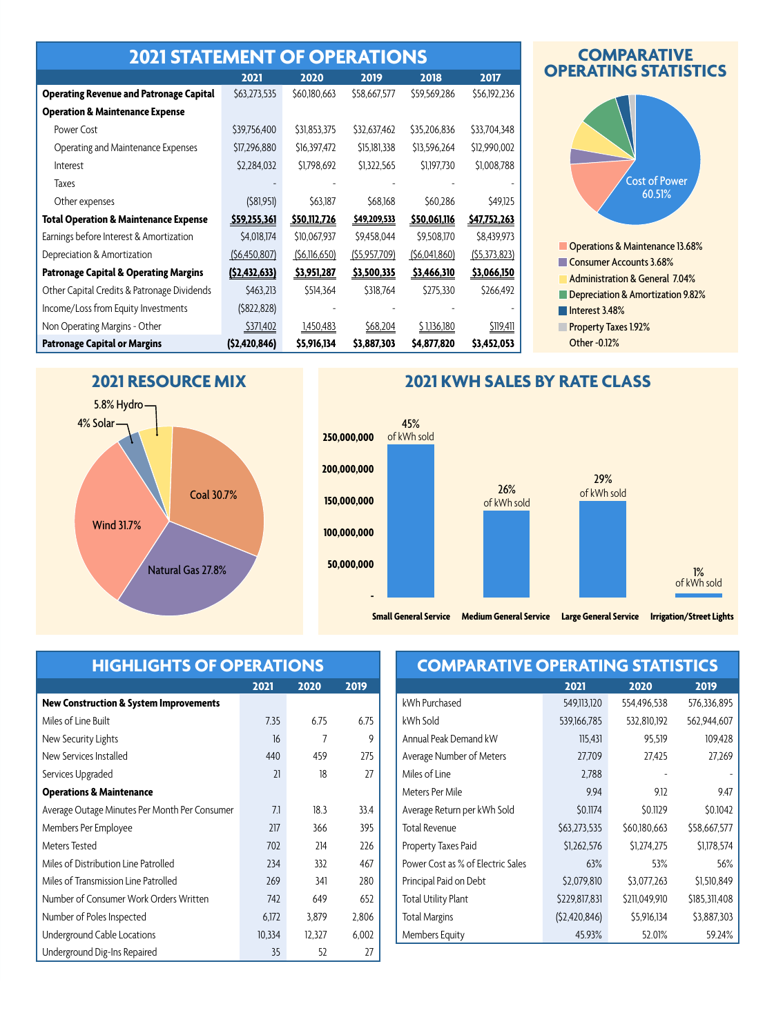| <b>2021 STATEMENT OF OPERATIONS</b>              |                |              |              |              |              |  |  |  |  |
|--------------------------------------------------|----------------|--------------|--------------|--------------|--------------|--|--|--|--|
|                                                  | 2021           | 2020         | 2019         | 2018         | 2017         |  |  |  |  |
| <b>Operating Revenue and Patronage Capital</b>   | \$63,273,535   | \$60,180,663 | \$58,667,577 | \$59,569,286 | \$56,192,236 |  |  |  |  |
| <b>Operation &amp; Maintenance Expense</b>       |                |              |              |              |              |  |  |  |  |
| Power Cost                                       | \$39,756,400   | \$31,853,375 | \$32,637,462 | \$35,206,836 | \$33,704,348 |  |  |  |  |
| Operating and Maintenance Expenses               | \$17,296,880   | \$16,397,472 | \$15,181,338 | \$13,596,264 | \$12,990,002 |  |  |  |  |
| Interest                                         | \$2,284,032    | \$1,798,692  | \$1,322,565  | \$1,197,730  | \$1,008,788  |  |  |  |  |
| <b>Taxes</b>                                     |                |              |              |              |              |  |  |  |  |
| Other expenses                                   | (581,951)      | \$63,187     | \$68,168     | \$60,286     | \$49,125     |  |  |  |  |
| <b>Total Operation &amp; Maintenance Expense</b> | \$59,255,361   | \$50,112,726 | \$49,209,533 | \$50,061,116 | \$47,752,263 |  |  |  |  |
| Earnings before Interest & Amortization          | \$4,018,174    | \$10,067,937 | \$9,458,044  | \$9,508,170  | \$8,439,973  |  |  |  |  |
| Depreciation & Amortization                      | (56, 450, 807) | (56,116,650) | (55,957,709) | (56,041,860) | (55,373,823) |  |  |  |  |
| <b>Patronage Capital &amp; Operating Margins</b> | (52, 432, 633) | \$3,951,287  | \$3,500,335  | \$3,466,310  | \$3,066,150  |  |  |  |  |
| Other Capital Credits & Patronage Dividends      | \$463,213      | \$514,364    | \$318,764    | \$275,330    | \$266,492    |  |  |  |  |
| Income/Loss from Equity Investments              | (5822, 828)    |              |              |              |              |  |  |  |  |
| Non Operating Margins - Other                    | \$371,402      | 1,450,483    | \$68,204     | \$1,136,180  | \$119,411    |  |  |  |  |
| <b>Patronage Capital or Margins</b>              | (52, 420, 846) | \$5,916,134  | \$3,887,303  | \$4,877,820  | \$3,452,053  |  |  |  |  |

#### **COMPARATIVE OPERATING STATISTICS**



#### **2021 RESOURCE MIX**



#### **2021 KWH SALES BY RATE CLASS**



### **HIGHLIGHTS OF OPERATIONS**

|                                                   | 2021   | 2020   | 2019  |
|---------------------------------------------------|--------|--------|-------|
| <b>New Construction &amp; System Improvements</b> |        |        |       |
| Miles of Line Built                               | 7.35   | 6.75   | 6.75  |
| New Security Lights                               | 16     | 7      | 9     |
| New Services Installed                            | 440    | 459    | 275   |
| Services Upgraded                                 | 21     | 18     | 27    |
| <b>Operations &amp; Maintenance</b>               |        |        |       |
| Average Outage Minutes Per Month Per Consumer     | 7.1    | 18.3   | 33.4  |
| Members Per Employee                              | 217    | 366    | 395   |
| Meters Tested                                     | 702    | 214    | 226   |
| Miles of Distribution Line Patrolled              | 234    | 332    | 467   |
| Miles of Transmission Line Patrolled              | 269    | 341    | 280   |
| Number of Consumer Work Orders Written            | 742    | 649    | 652   |
| Number of Poles Inspected                         | 6.172  | 3,879  | 2,806 |
| Underground Cable Locations                       | 10,334 | 12,327 | 6,002 |
| Underground Dig-Ins Repaired                      | 35     | 52     | 27    |

## **COMPARATIVE OPERATING STATISTICS**

| 2021           | 2020          | 2019          |
|----------------|---------------|---------------|
| 549,113,120    | 554,496,538   | 576,336,895   |
| 539,166,785    | 532,810,192   | 562,944,607   |
| 115,431        | 95,519        | 109,428       |
| 27,709         | 27,425        | 27,269        |
| 2,788          |               |               |
| 9.94           | 9.12          | 9.47          |
| \$0.1174       | \$0.1129      | \$0.1042      |
| \$63,273,535   | \$60,180,663  | \$58,667,577  |
| \$1,262,576    | \$1,274,275   | \$1,178,574   |
| 63%            | 53%           | 56%           |
| \$2,079,810    | \$3,077,263   | \$1,510,849   |
| \$229,817,831  | \$211,049,910 | \$185,311,408 |
| (52, 420, 846) | \$5,916,134   | \$3,887,303   |
| 45.93%         | 52.01%        | 59.24%        |
|                |               |               |